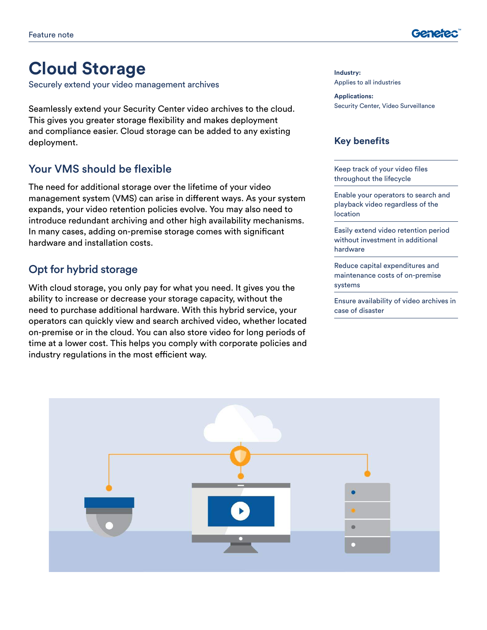

# **Cloud Storage**

Securely extend your video management archives

Seamlessly extend your Security Center video archives to the cloud. This gives you greater storage flexibility and makes deployment and compliance easier. Cloud storage can be added to any existing deployment.

#### Your VMS should be flexible

The need for additional storage over the lifetime of your video management system (VMS) can arise in different ways. As your system expands, your video retention policies evolve. You may also need to introduce redundant archiving and other high availability mechanisms. In many cases, adding on-premise storage comes with significant hardware and installation costs.

## Opt for hybrid storage

With cloud storage, you only pay for what you need. It gives you the ability to increase or decrease your storage capacity, without the need to purchase additional hardware. With this hybrid service, your operators can quickly view and search archived video, whether located on-premise or in the cloud. You can also store video for long periods of time at a lower cost. This helps you comply with corporate policies and industry regulations in the most efficient way.

**Industry:** Applies to all industries

**Applications:** Security Center, Video Surveillance

#### **Key benefits**

Keep track of your video files throughout the lifecycle

Enable your operators to search and playback video regardless of the location

Easily extend video retention period without investment in additional hardware

Reduce capital expenditures and maintenance costs of on-premise systems

Ensure availability of video archives in case of disaster